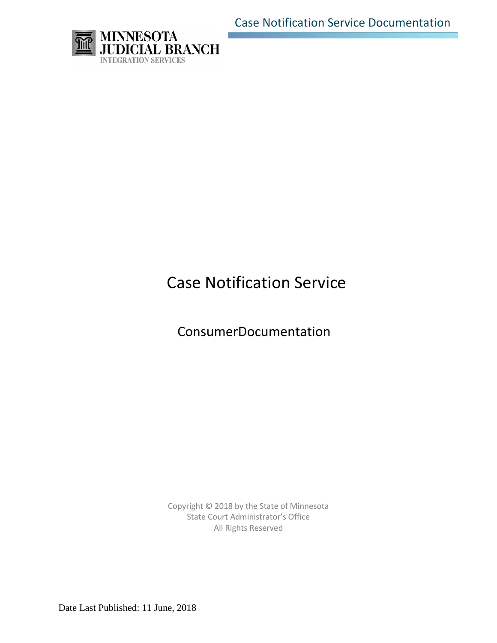Case Notification Service Documentation



# Case Notification Service

ConsumerDocumentation

Copyright © 2018 by the State of Minnesota State Court Administrator's Office All Rights Reserved

Date Last Published: 11 June, 2018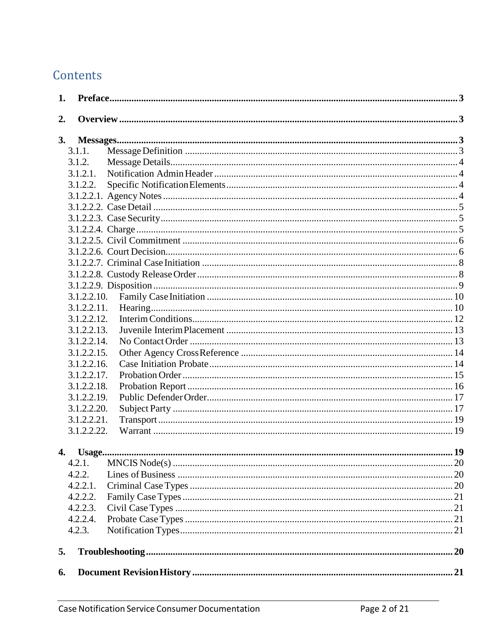# Contents

| 1. |                            |                                                               |  |
|----|----------------------------|---------------------------------------------------------------|--|
| 2. |                            |                                                               |  |
| 3. |                            | ${\bf Messages.}\label{prop:2} {\bf Messages.}\label{prop:3}$ |  |
|    | 3.1.1.                     |                                                               |  |
|    | 3.1.2.                     |                                                               |  |
|    | 3.1.2.1.                   |                                                               |  |
|    | 3.1.2.2.                   |                                                               |  |
|    |                            |                                                               |  |
|    |                            |                                                               |  |
|    |                            |                                                               |  |
|    |                            |                                                               |  |
|    |                            |                                                               |  |
|    |                            |                                                               |  |
|    |                            |                                                               |  |
|    |                            |                                                               |  |
|    |                            |                                                               |  |
|    | 3.1.2.2.10.                |                                                               |  |
|    | 3.1.2.2.11.                |                                                               |  |
|    | 3.1.2.2.12.                |                                                               |  |
|    | 3.1.2.2.13.                |                                                               |  |
|    | 3.1.2.2.14.                |                                                               |  |
|    | $3.1.2.2.15$ .             |                                                               |  |
|    | 3.1.2.2.16.                |                                                               |  |
|    | 3.1.2.2.17.                |                                                               |  |
|    | 3.1.2.2.18.                |                                                               |  |
|    | 3.1.2.2.19.<br>3.1.2.2.20. |                                                               |  |
|    | 3.1.2.2.21.                |                                                               |  |
|    | 3.1.2.2.22.                |                                                               |  |
|    |                            |                                                               |  |
| 4. |                            |                                                               |  |
|    | 4.2.1.                     |                                                               |  |
|    | 4.2.2.                     |                                                               |  |
|    | 4.2.2.1.                   |                                                               |  |
|    | 4.2.2.2.                   |                                                               |  |
|    | 4.2.2.3.                   |                                                               |  |
|    | 4.2.2.4.                   |                                                               |  |
|    | 4.2.3.                     |                                                               |  |
| 5. |                            |                                                               |  |
| 6. |                            |                                                               |  |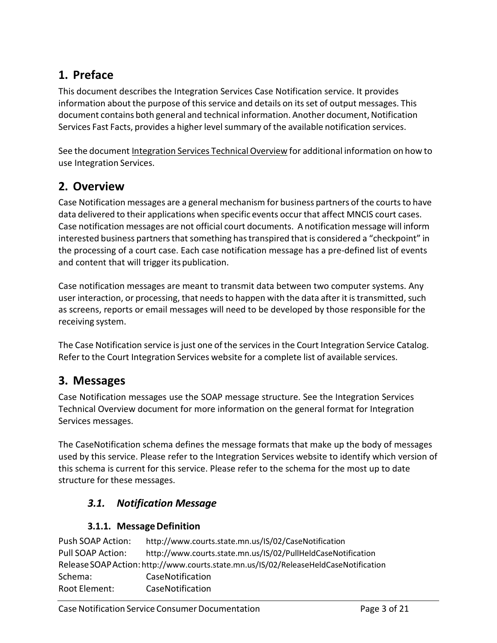# <span id="page-2-0"></span>**1. Preface**

This document describes the Integration Services Case Notification service. It provides information about the purpose of this service and details on its set of output messages. This document contains both general and technical information. Another document,Notification Services Fast Facts, provides a higher level summary of the available notification services.

See the document Integration Services Technical Overview for additional information on how to use Integration Services.

# <span id="page-2-1"></span>**2. Overview**

Case Notification messages are a general mechanism for business partners of the courts to have data delivered to their applications when specific events occur that affect MNCIS court cases. Case notification messages are not official court documents. A notification message will inform interested business partners that something has transpired that is considered a "checkpoint" in the processing of a court case. Each case notification message has a pre-defined list of events and content that will trigger its publication.

Case notification messages are meant to transmit data between two computer systems. Any user interaction, or processing, that needsto happen with the data after it is transmitted, such as screens, reports or email messages will need to be developed by those responsible for the receiving system.

The Case Notification service is just one of the services in the Court Integration Service Catalog. Refer to the Court Integration Services website for a complete list of available services.

# <span id="page-2-2"></span>**3. Messages**

Case Notification messages use the SOAP message structure. See the Integration Services Technical Overview document for more information on the general format for Integration Services messages.

The CaseNotification schema defines the message formats that make up the body of messages used by this service. Please refer to the Integration Services website to identify which version of this schema is current for this service. Please refer to the schema for the most up to date structure for these messages.

# *3.1. Notification Message*

# **3.1.1. MessageDefinition**

<span id="page-2-3"></span>

| Push SOAP Action:                                                                    | http://www.courts.state.mn.us/IS/02/CaseNotification         |  |  |
|--------------------------------------------------------------------------------------|--------------------------------------------------------------|--|--|
| Pull SOAP Action:                                                                    | http://www.courts.state.mn.us/IS/02/PullHeldCaseNotification |  |  |
| Release SOAP Action: http://www.courts.state.mn.us/IS/02/ReleaseHeldCaseNotification |                                                              |  |  |
| Schema:                                                                              | CaseNotification                                             |  |  |
| Root Element:                                                                        | CaseNotification                                             |  |  |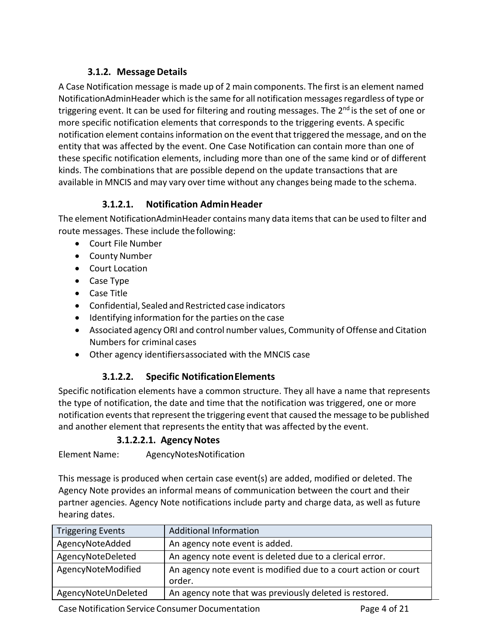# **3.1.2. MessageDetails**

<span id="page-3-0"></span>A Case Notification message is made up of 2 main components. The first is an element named NotificationAdminHeader which isthe same for all notification messagesregardless of type or triggering event. It can be used for filtering and routing messages. The 2<sup>nd</sup> is the set of one or more specific notification elements that corresponds to the triggering events. A specific notification element contains information on the event that triggered the message, and on the entity that was affected by the event. One Case Notification can contain more than one of these specific notification elements, including more than one of the same kind or of different kinds. The combinations that are possible depend on the update transactions that are available in MNCIS and may vary over time without any changes being made to the schema.

### **3.1.2.1. Notification AdminHeader**

<span id="page-3-1"></span>The element NotificationAdminHeader contains many data itemsthat can be used to filter and route messages. These include the following:

- Court File Number
- County Number
- Court Location
- Case Type
- Case Title
- Confidential, Sealed and Restricted case indicators
- Identifying information for the parties on the case
- Associated agency ORI and control number values, Community of Offense and Citation Numbers for criminal cases
- Other agency identifiersassociated with the MNCIS case

#### **3.1.2.2. Specific NotificationElements**

<span id="page-3-2"></span>Specific notification elements have a common structure. They all have a name that represents the type of notification, the date and time that the notification was triggered, one or more notification events that represent the triggering event that caused the message to be published and another element that represents the entity that was affected by the event.

#### **3.1.2.2.1. Agency Notes**

<span id="page-3-3"></span>Element Name: AgencyNotesNotification

This message is produced when certain case event(s) are added, modified or deleted. The Agency Note provides an informal means of communication between the court and their partner agencies. Agency Note notifications include party and charge data, as well as future hearing dates.

| <b>Triggering Events</b> | <b>Additional Information</b>                                             |
|--------------------------|---------------------------------------------------------------------------|
| AgencyNoteAdded          | An agency note event is added.                                            |
| AgencyNoteDeleted        | An agency note event is deleted due to a clerical error.                  |
| AgencyNoteModified       | An agency note event is modified due to a court action or court<br>order. |
| AgencyNoteUnDeleted      | An agency note that was previously deleted is restored.                   |

Case Notification Service Consumer Documentation **Page 4 of 21**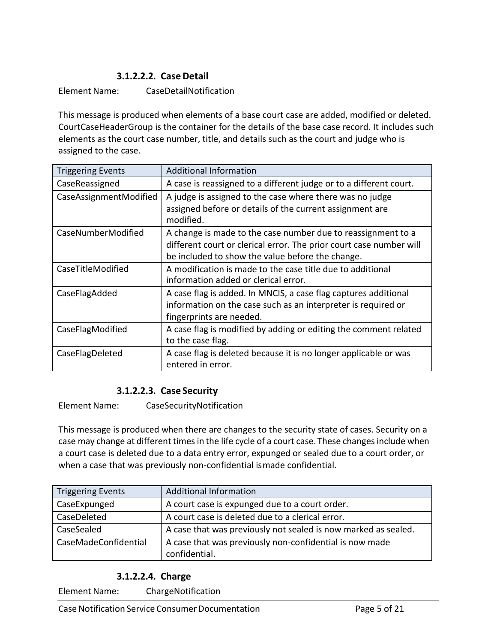# **3.1.2.2.2. CaseDetail**

#### <span id="page-4-0"></span>Element Name: CaseDetailNotification

This message is produced when elements of a base court case are added, modified or deleted. CourtCaseHeaderGroup is the container for the details of the base case record. It includes such elements as the court case number, title, and details such as the court and judge who is assigned to the case.

| <b>Triggering Events</b> | <b>Additional Information</b>                                                                                                                                                           |
|--------------------------|-----------------------------------------------------------------------------------------------------------------------------------------------------------------------------------------|
| CaseReassigned           | A case is reassigned to a different judge or to a different court.                                                                                                                      |
| CaseAssignmentModified   | A judge is assigned to the case where there was no judge<br>assigned before or details of the current assignment are<br>modified.                                                       |
| CaseNumberModified       | A change is made to the case number due to reassignment to a<br>different court or clerical error. The prior court case number will<br>be included to show the value before the change. |
| CaseTitleModified        | A modification is made to the case title due to additional<br>information added or clerical error.                                                                                      |
| CaseFlagAdded            | A case flag is added. In MNCIS, a case flag captures additional<br>information on the case such as an interpreter is required or<br>fingerprints are needed.                            |
| CaseFlagModified         | A case flag is modified by adding or editing the comment related<br>to the case flag.                                                                                                   |
| CaseFlagDeleted          | A case flag is deleted because it is no longer applicable or was<br>entered in error.                                                                                                   |

#### **3.1.2.2.3. Case Security**

<span id="page-4-1"></span>Element Name: CaseSecurityNotification

This message is produced when there are changes to the security state of cases. Security on a case may change at different times in the life cycle of a court case. These changes include when a court case is deleted due to a data entry error, expunged or sealed due to a court order, or when a case that was previously non-confidential ismade confidential.

| <b>Triggering Events</b> | <b>Additional Information</b>                                            |
|--------------------------|--------------------------------------------------------------------------|
| CaseExpunged             | A court case is expunged due to a court order.                           |
| CaseDeleted              | A court case is deleted due to a clerical error.                         |
| CaseSealed               | A case that was previously not sealed is now marked as sealed.           |
| CaseMadeConfidential     | A case that was previously non-confidential is now made<br>confidential. |

# **3.1.2.2.4. Charge**

<span id="page-4-2"></span>Element Name: ChargeNotification

Case Notification Service Consumer Documentation **Page 5 of 21**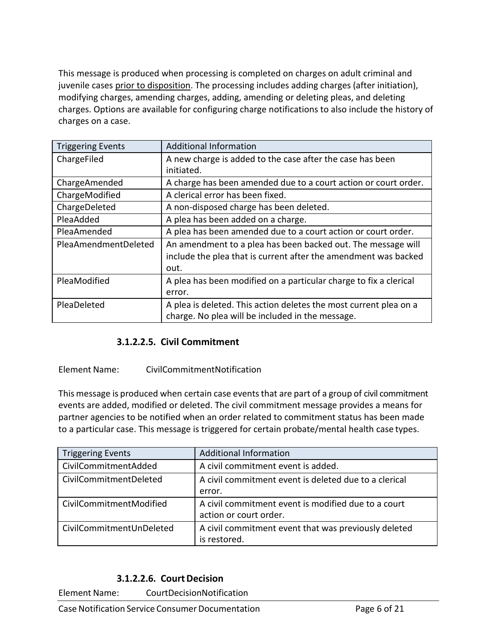This message is produced when processing is completed on charges on adult criminal and juvenile cases prior to disposition. The processing includes adding charges (after initiation), modifying charges, amending charges, adding, amending or deleting pleas, and deleting charges. Options are available for configuring charge notifications to also include the history of charges on a case.

| <b>Triggering Events</b> | <b>Additional Information</b>                                                                                                   |
|--------------------------|---------------------------------------------------------------------------------------------------------------------------------|
| ChargeFiled              | A new charge is added to the case after the case has been<br>initiated.                                                         |
| ChargeAmended            | A charge has been amended due to a court action or court order.                                                                 |
| ChargeModified           | A clerical error has been fixed.                                                                                                |
| ChargeDeleted            | A non-disposed charge has been deleted.                                                                                         |
| PleaAdded                | A plea has been added on a charge.                                                                                              |
| PleaAmended              | A plea has been amended due to a court action or court order.                                                                   |
| PleaAmendmentDeleted     | An amendment to a plea has been backed out. The message will<br>include the plea that is current after the amendment was backed |
|                          | out.                                                                                                                            |
| PleaModified             | A plea has been modified on a particular charge to fix a clerical<br>error.                                                     |
| PleaDeleted              | A plea is deleted. This action deletes the most current plea on a<br>charge. No plea will be included in the message.           |

#### **3.1.2.2.5. Civil Commitment**

#### <span id="page-5-0"></span>Element Name: CivilCommitmentNotification

This message is produced when certain case events that are part of a group of civil commitment events are added, modified or deleted. The civil commitment message provides a means for partner agencies to be notified when an order related to commitment status has been made to a particular case. This message is triggered for certain probate/mental health case types.

| <b>Triggering Events</b> | <b>Additional Information</b>                                                 |
|--------------------------|-------------------------------------------------------------------------------|
| CivilCommitmentAdded     | A civil commitment event is added.                                            |
| CivilCommitmentDeleted   | A civil commitment event is deleted due to a clerical<br>error.               |
| CivilCommitmentModified  | A civil commitment event is modified due to a court<br>action or court order. |
| CivilCommitmentUnDeleted | A civil commitment event that was previously deleted<br>is restored.          |

#### **3.1.2.2.6. CourtDecision**

<span id="page-5-1"></span>Element Name: CourtDecisionNotification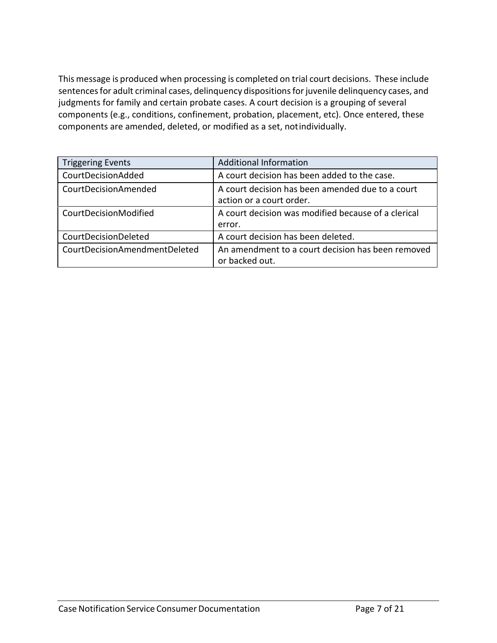This message is produced when processing is completed on trial court decisions. These include sentences for adult criminal cases, delinquency dispositions for juvenile delinquency cases, and judgments for family and certain probate cases. A court decision is a grouping of several components (e.g., conditions, confinement, probation, placement, etc). Once entered, these components are amended, deleted, or modified as a set, notindividually.

| <b>Triggering Events</b>      | <b>Additional Information</b>                                                |
|-------------------------------|------------------------------------------------------------------------------|
| CourtDecisionAdded            | A court decision has been added to the case.                                 |
| CourtDecisionAmended          | A court decision has been amended due to a court<br>action or a court order. |
| CourtDecisionModified         | A court decision was modified because of a clerical<br>error.                |
| CourtDecisionDeleted          | A court decision has been deleted.                                           |
| CourtDecisionAmendmentDeleted | An amendment to a court decision has been removed<br>or backed out.          |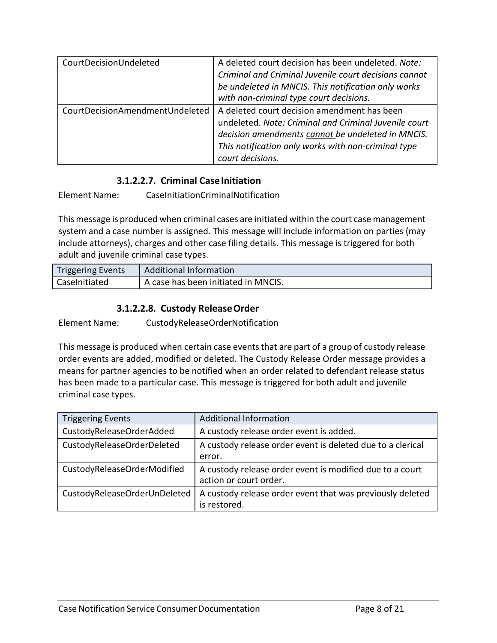| CourtDecisionUndeleted          | A deleted court decision has been undeleted. Note:<br>Criminal and Criminal Juvenile court decisions cannot<br>be undeleted in MNCIS. This notification only works<br>with non-criminal type court decisions.                        |
|---------------------------------|--------------------------------------------------------------------------------------------------------------------------------------------------------------------------------------------------------------------------------------|
| CourtDecisionAmendmentUndeleted | A deleted court decision amendment has been<br>undeleted. Note: Criminal and Criminal Juvenile court<br>decision amendments cannot be undeleted in MNCIS.<br>This notification only works with non-criminal type<br>court decisions. |

#### **3.1.2.2.7. Criminal CaseInitiation**

<span id="page-7-0"></span>Element Name: CaseInitiationCriminalNotification

This message is produced when criminal cases are initiated within the court case management system and a case number is assigned. This message will include information on parties (may include attorneys), charges and other case filing details. This message is triggered for both adult and juvenile criminal case types.

| <b>Triggering Events</b> | <b>Additional Information</b>                    |
|--------------------------|--------------------------------------------------|
| CaseInitiated            | <sup>1</sup> A case has been initiated in MNCIS. |

### **3.1.2.2.8. Custody ReleaseOrder**

<span id="page-7-1"></span>Element Name: CustodyReleaseOrderNotification

This message is produced when certain case eventsthat are part of a group of custody release order events are added, modified or deleted. The Custody Release Order message provides a means for partner agencies to be notified when an order related to defendant release status has been made to a particular case. This message is triggered for both adult and juvenile criminal case types.

| <b>Triggering Events</b>     | <b>Additional Information</b>                                                      |
|------------------------------|------------------------------------------------------------------------------------|
| CustodyReleaseOrderAdded     | A custody release order event is added.                                            |
| CustodyReleaseOrderDeleted   | A custody release order event is deleted due to a clerical<br>error.               |
| CustodyReleaseOrderModified  | A custody release order event is modified due to a court<br>action or court order. |
| CustodyReleaseOrderUnDeleted | A custody release order event that was previously deleted<br>is restored.          |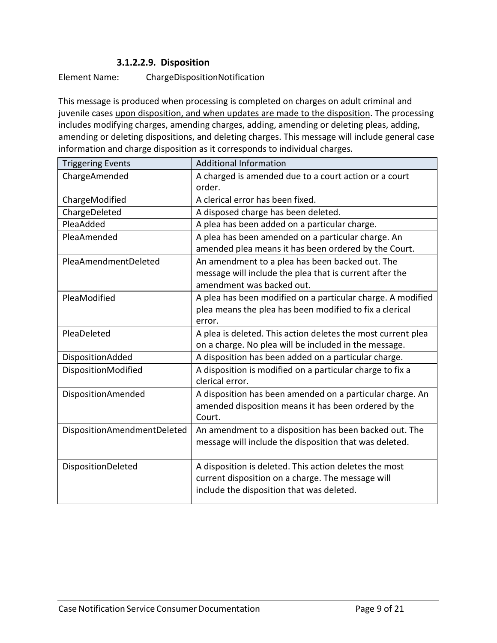#### **3.1.2.2.9. Disposition**

<span id="page-8-0"></span>Element Name: ChargeDispositionNotification

This message is produced when processing is completed on charges on adult criminal and juvenile cases upon disposition, and when updates are made to the disposition. The processing includes modifying charges, amending charges, adding, amending or deleting pleas, adding, amending or deleting dispositions, and deleting charges. This message will include general case information and charge disposition as it corresponds to individual charges.

| <b>Triggering Events</b>    | <b>Additional Information</b>                                                                              |
|-----------------------------|------------------------------------------------------------------------------------------------------------|
| ChargeAmended               | A charged is amended due to a court action or a court<br>order.                                            |
| ChargeModified              | A clerical error has been fixed.                                                                           |
| ChargeDeleted               | A disposed charge has been deleted.                                                                        |
| PleaAdded                   | A plea has been added on a particular charge.                                                              |
| PleaAmended                 | A plea has been amended on a particular charge. An<br>amended plea means it has been ordered by the Court. |
| PleaAmendmentDeleted        | An amendment to a plea has been backed out. The                                                            |
|                             | message will include the plea that is current after the                                                    |
|                             | amendment was backed out.                                                                                  |
| PleaModified                | A plea has been modified on a particular charge. A modified                                                |
|                             | plea means the plea has been modified to fix a clerical                                                    |
|                             | error.                                                                                                     |
| PleaDeleted                 | A plea is deleted. This action deletes the most current plea                                               |
|                             | on a charge. No plea will be included in the message.                                                      |
| DispositionAdded            | A disposition has been added on a particular charge.                                                       |
| DispositionModified         | A disposition is modified on a particular charge to fix a<br>clerical error.                               |
| <b>DispositionAmended</b>   | A disposition has been amended on a particular charge. An                                                  |
|                             | amended disposition means it has been ordered by the                                                       |
|                             | Court.                                                                                                     |
| DispositionAmendmentDeleted | An amendment to a disposition has been backed out. The                                                     |
|                             | message will include the disposition that was deleted.                                                     |
| DispositionDeleted          | A disposition is deleted. This action deletes the most                                                     |
|                             | current disposition on a charge. The message will                                                          |
|                             | include the disposition that was deleted.                                                                  |
|                             |                                                                                                            |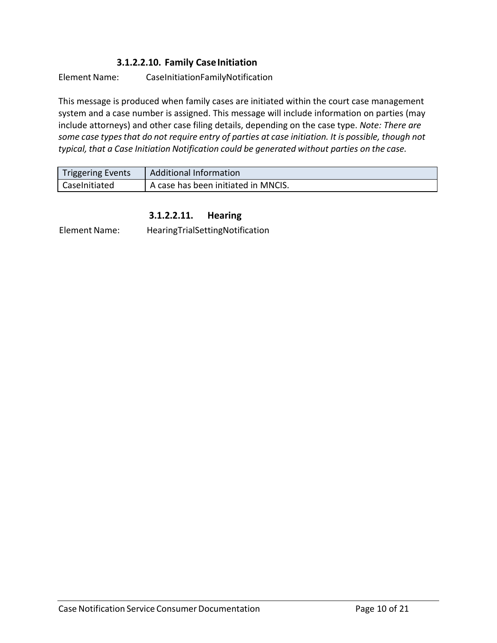### **3.1.2.2.10. Family CaseInitiation**

<span id="page-9-0"></span>Element Name: CaseInitiationFamilyNotification

This message is produced when family cases are initiated within the court case management system and a case number is assigned. This message will include information on parties (may include attorneys) and other case filing details, depending on the case type. *Note: There are some case typesthat do not require entry of parties at case initiation. It is possible, though not typical, that a Case Initiation Notification could be generated without parties on the case.*

| <b>Triggering Events</b> | <b>Additional Information</b>       |
|--------------------------|-------------------------------------|
| Caselnitiated            | A case has been initiated in MNCIS. |

#### **3.1.2.2.11. Hearing**

<span id="page-9-1"></span>Element Name: HearingTrialSettingNotification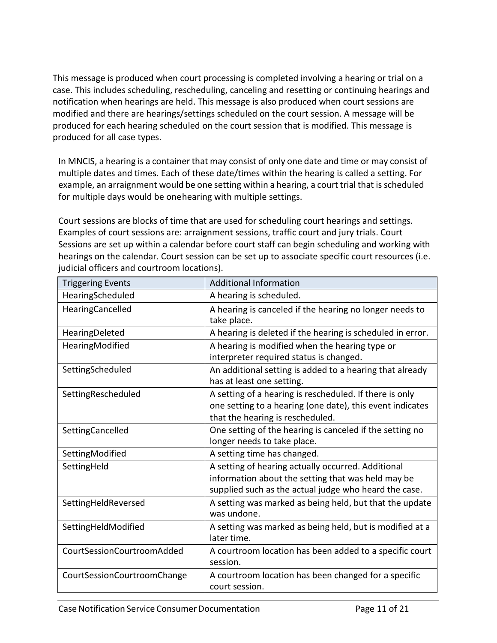This message is produced when court processing is completed involving a hearing or trial on a case. This includes scheduling, rescheduling, canceling and resetting or continuing hearings and notification when hearings are held. This message is also produced when court sessions are modified and there are hearings/settings scheduled on the court session. A message will be produced for each hearing scheduled on the court session that is modified. This message is produced for all case types.

In MNCIS, a hearing is a container that may consist of only one date and time or may consist of multiple dates and times. Each of these date/times within the hearing is called a setting. For example, an arraignment would be one setting within a hearing, a court trial that is scheduled for multiple days would be onehearing with multiple settings.

Court sessions are blocks of time that are used for scheduling court hearings and settings. Examples of court sessions are: arraignment sessions, traffic court and jury trials. Court Sessions are set up within a calendar before court staff can begin scheduling and working with hearings on the calendar. Court session can be set up to associate specific court resources (i.e. judicial officers and courtroom locations).

| <b>Triggering Events</b>    | <b>Additional Information</b>                                                                                                                                     |
|-----------------------------|-------------------------------------------------------------------------------------------------------------------------------------------------------------------|
| HearingScheduled            | A hearing is scheduled.                                                                                                                                           |
| HearingCancelled            | A hearing is canceled if the hearing no longer needs to<br>take place.                                                                                            |
| HearingDeleted              | A hearing is deleted if the hearing is scheduled in error.                                                                                                        |
| HearingModified             | A hearing is modified when the hearing type or<br>interpreter required status is changed.                                                                         |
| SettingScheduled            | An additional setting is added to a hearing that already<br>has at least one setting.                                                                             |
| SettingRescheduled          | A setting of a hearing is rescheduled. If there is only<br>one setting to a hearing (one date), this event indicates<br>that the hearing is rescheduled.          |
| SettingCancelled            | One setting of the hearing is canceled if the setting no<br>longer needs to take place.                                                                           |
| SettingModified             | A setting time has changed.                                                                                                                                       |
| SettingHeld                 | A setting of hearing actually occurred. Additional<br>information about the setting that was held may be<br>supplied such as the actual judge who heard the case. |
| SettingHeldReversed         | A setting was marked as being held, but that the update<br>was undone.                                                                                            |
| SettingHeldModified         | A setting was marked as being held, but is modified at a<br>later time.                                                                                           |
| CourtSessionCourtroomAdded  | A courtroom location has been added to a specific court<br>session.                                                                                               |
| CourtSessionCourtroomChange | A courtroom location has been changed for a specific<br>court session.                                                                                            |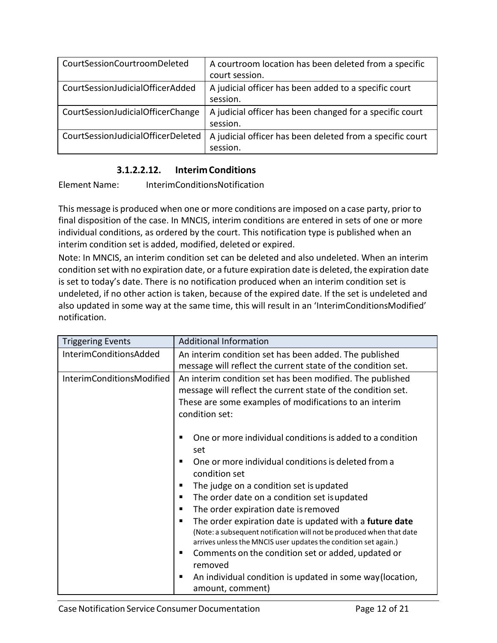| CourtSessionCourtroomDeleted       | A courtroom location has been deleted from a specific<br>court session. |
|------------------------------------|-------------------------------------------------------------------------|
| CourtSessionJudicialOfficerAdded   | A judicial officer has been added to a specific court<br>session.       |
| CourtSessionJudicialOfficerChange  | A judicial officer has been changed for a specific court<br>session.    |
| CourtSessionJudicialOfficerDeleted | A judicial officer has been deleted from a specific court<br>session.   |

### **3.1.2.2.12. InterimConditions**

<span id="page-11-0"></span>Element Name: InterimConditionsNotification

This message is produced when one or more conditions are imposed on a case party, prior to final disposition of the case. In MNCIS, interim conditions are entered in sets of one or more individual conditions, as ordered by the court. This notification type is published when an interim condition set is added, modified, deleted or expired.

Note: In MNCIS, an interim condition set can be deleted and also undeleted. When an interim condition set with no expiration date, or a future expiration date is deleted, the expiration date is set to today's date. There is no notification produced when an interim condition set is undeleted, if no other action is taken, because of the expired date. If the set is undeleted and also updated in some way at the same time, this will result in an 'InterimConditionsModified' notification.

| <b>Triggering Events</b>      | <b>Additional Information</b>                                                                                                                                                                                                                                                                                                                                                                                                                                                                                                                                                                                                                           |
|-------------------------------|---------------------------------------------------------------------------------------------------------------------------------------------------------------------------------------------------------------------------------------------------------------------------------------------------------------------------------------------------------------------------------------------------------------------------------------------------------------------------------------------------------------------------------------------------------------------------------------------------------------------------------------------------------|
| <b>InterimConditionsAdded</b> | An interim condition set has been added. The published<br>message will reflect the current state of the condition set.                                                                                                                                                                                                                                                                                                                                                                                                                                                                                                                                  |
| InterimConditionsModified     | An interim condition set has been modified. The published<br>message will reflect the current state of the condition set.<br>These are some examples of modifications to an interim<br>condition set:                                                                                                                                                                                                                                                                                                                                                                                                                                                   |
|                               | One or more individual conditions is added to a condition<br>set<br>One or more individual conditions is deleted from a<br>condition set<br>The judge on a condition set is updated<br>п<br>The order date on a condition set is updated<br>٠<br>The order expiration date is removed<br>٠<br>The order expiration date is updated with a future date<br>(Note: a subsequent notification will not be produced when that date<br>arrives unless the MNCIS user updates the condition set again.)<br>Comments on the condition set or added, updated or<br>removed<br>An individual condition is updated in some way (location,<br>п<br>amount, comment) |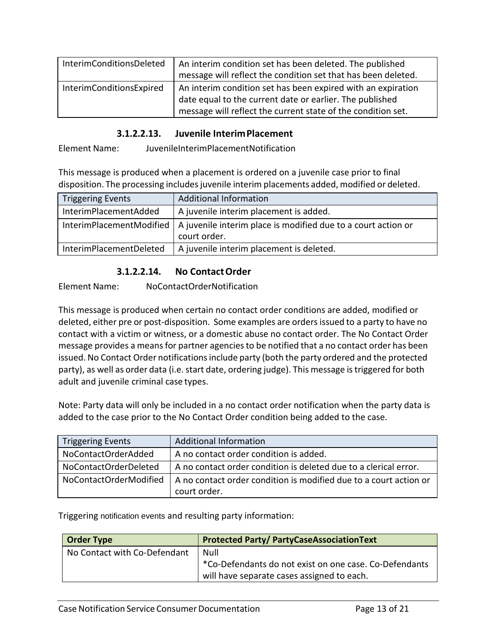| <b>InterimConditionsDeleted</b> | An interim condition set has been deleted. The published<br>message will reflect the condition set that has been deleted.                                                                |
|---------------------------------|------------------------------------------------------------------------------------------------------------------------------------------------------------------------------------------|
| InterimConditionsExpired        | An interim condition set has been expired with an expiration<br>date equal to the current date or earlier. The published<br>message will reflect the current state of the condition set. |

#### **3.1.2.2.13. Juvenile InterimPlacement**

<span id="page-12-0"></span>Element Name: JuvenileInterimPlacementNotification

This message is produced when a placement is ordered on a juvenile case prior to final disposition. The processing includes juvenile interim placements added, modified or deleted.

| <b>Triggering Events</b> | <b>Additional Information</b>                                                 |
|--------------------------|-------------------------------------------------------------------------------|
| InterimPlacementAdded    | A juvenile interim placement is added.                                        |
| InterimPlacementModified | A juvenile interim place is modified due to a court action or<br>court order. |
| InterimPlacementDeleted  | A juvenile interim placement is deleted.                                      |

#### **3.1.2.2.14. No ContactOrder**

<span id="page-12-1"></span>Element Name: NoContactOrderNotification

This message is produced when certain no contact order conditions are added, modified or deleted, either pre or post-disposition. Some examples are ordersissued to a party to have no contact with a victim or witness, or a domestic abuse no contact order. The No Contact Order message provides a means for partner agencies to be notified that a no contact order has been issued. No Contact Order notifications include party (both the party ordered and the protected party), as well as order data (i.e. start date, ordering judge). This message is triggered for both adult and juvenile criminal case types.

Note: Party data will only be included in a no contact order notification when the party data is added to the case prior to the No Contact Order condition being added to the case.

| <b>Triggering Events</b> | <b>Additional Information</b>                                                     |
|--------------------------|-----------------------------------------------------------------------------------|
| NoContactOrderAdded      | A no contact order condition is added.                                            |
| NoContactOrderDeleted    | A no contact order condition is deleted due to a clerical error.                  |
| NoContactOrderModified   | A no contact order condition is modified due to a court action or<br>court order. |

Triggering notification events and resulting party information:

| <b>Order Type</b>            | <b>Protected Party/ PartyCaseAssociationText</b>       |
|------------------------------|--------------------------------------------------------|
| No Contact with Co-Defendant | Null                                                   |
|                              | *Co-Defendants do not exist on one case. Co-Defendants |
|                              | will have separate cases assigned to each.             |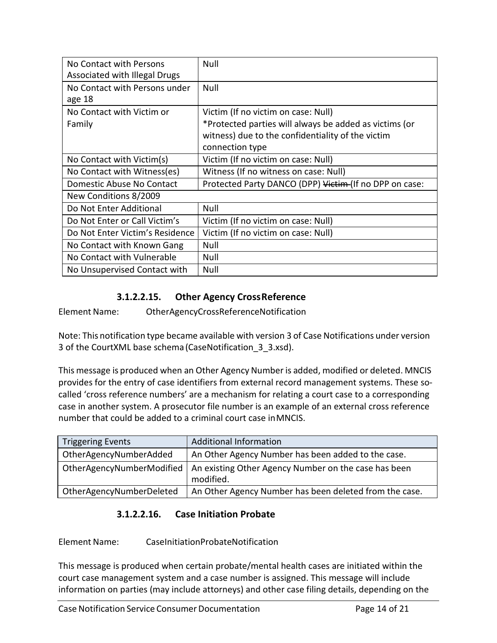| No Contact with Persons              | Null                                                   |
|--------------------------------------|--------------------------------------------------------|
| <b>Associated with Illegal Drugs</b> |                                                        |
| No Contact with Persons under        | Null                                                   |
| age 18                               |                                                        |
| No Contact with Victim or            | Victim (If no victim on case: Null)                    |
| Family                               | *Protected parties will always be added as victims (or |
|                                      | witness) due to the confidentiality of the victim      |
|                                      | connection type                                        |
| No Contact with Victim(s)            | Victim (If no victim on case: Null)                    |
| No Contact with Witness(es)          | Witness (If no witness on case: Null)                  |
| Domestic Abuse No Contact            | Protected Party DANCO (DPP) Victim (If no DPP on case: |
| New Conditions 8/2009                |                                                        |
| Do Not Enter Additional              | Null                                                   |
| Do Not Enter or Call Victim's        | Victim (If no victim on case: Null)                    |
| Do Not Enter Victim's Residence      | Victim (If no victim on case: Null)                    |
| No Contact with Known Gang           | Null                                                   |
| No Contact with Vulnerable           | Null                                                   |
| No Unsupervised Contact with         | Null                                                   |

# **3.1.2.2.15. Other Agency CrossReference**

<span id="page-13-0"></span>Element Name: OtherAgencyCrossReferenceNotification

Note: This notification type became available with version 3 of Case Notifications under version 3 of the CourtXML base schema (CaseNotification\_3\_3.xsd).

This message is produced when an Other Agency Number is added, modified or deleted. MNCIS provides for the entry of case identifiers from external record management systems. These socalled 'cross reference numbers' are a mechanism for relating a court case to a corresponding case in another system. A prosecutor file number is an example of an external cross reference number that could be added to a criminal court case inMNCIS.

| <b>Triggering Events</b> | <b>Additional Information</b>                                                                 |
|--------------------------|-----------------------------------------------------------------------------------------------|
| OtherAgencyNumberAdded   | An Other Agency Number has been added to the case.                                            |
|                          | OtherAgencyNumberModified   An existing Other Agency Number on the case has been<br>modified. |
| OtherAgencyNumberDeleted | An Other Agency Number has been deleted from the case.                                        |

# **3.1.2.2.16. Case Initiation Probate**

#### <span id="page-13-1"></span>Element Name: CaseInitiationProbateNotification

This message is produced when certain probate/mental health cases are initiated within the court case management system and a case number is assigned. This message will include information on parties (may include attorneys) and other case filing details, depending on the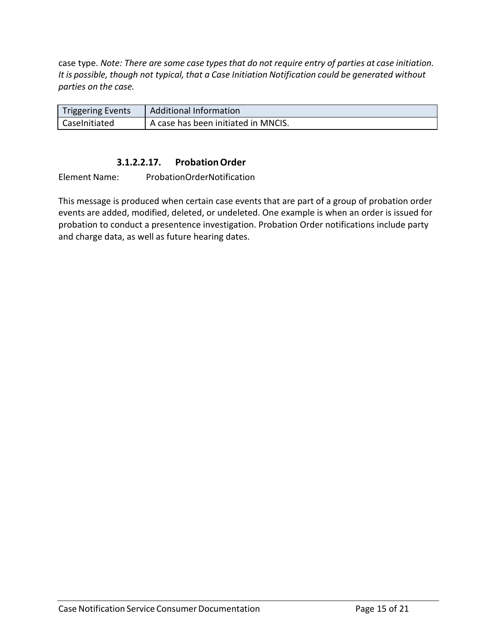case type. *Note: There are some case typesthat do not require entry of parties at case initiation. It is possible, though not typical, that a Case Initiation Notification could be generated without parties on the case.*

| <b>Triggering Events</b> | <b>Additional Information</b>       |
|--------------------------|-------------------------------------|
| CaseInitiated            | A case has been initiated in MNCIS. |

#### **3.1.2.2.17. ProbationOrder**

<span id="page-14-0"></span>Element Name: ProbationOrderNotification

This message is produced when certain case events that are part of a group of probation order events are added, modified, deleted, or undeleted. One example is when an order is issued for probation to conduct a presentence investigation. Probation Order notifications include party and charge data, as well as future hearing dates.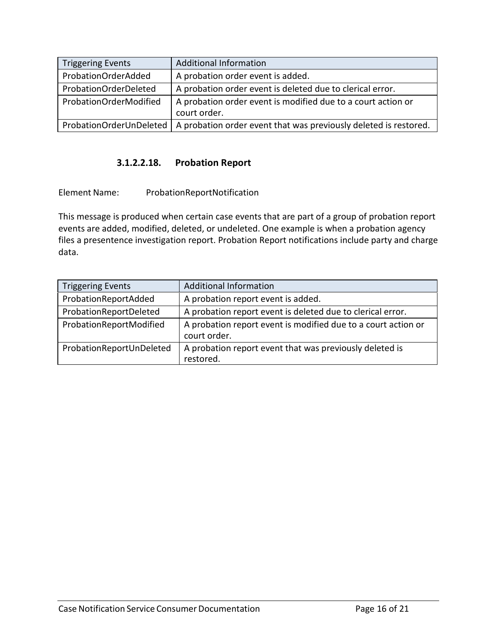| <b>Triggering Events</b> | <b>Additional Information</b>                                                |
|--------------------------|------------------------------------------------------------------------------|
| ProbationOrderAdded      | A probation order event is added.                                            |
| ProbationOrderDeleted    | A probation order event is deleted due to clerical error.                    |
| ProbationOrderModified   | A probation order event is modified due to a court action or<br>court order. |
| ProbationOrderUnDeleted  | A probation order event that was previously deleted is restored.             |

#### **3.1.2.2.18. Probation Report**

<span id="page-15-0"></span>Element Name: ProbationReportNotification

This message is produced when certain case events that are part of a group of probation report events are added, modified, deleted, or undeleted. One example is when a probation agency files a presentence investigation report. Probation Report notifications include party and charge data.

| <b>Triggering Events</b> | <b>Additional Information</b>                                                 |
|--------------------------|-------------------------------------------------------------------------------|
| ProbationReportAdded     | A probation report event is added.                                            |
| ProbationReportDeleted   | A probation report event is deleted due to clerical error.                    |
| ProbationReportModified  | A probation report event is modified due to a court action or<br>court order. |
| ProbationReportUnDeleted | A probation report event that was previously deleted is<br>restored.          |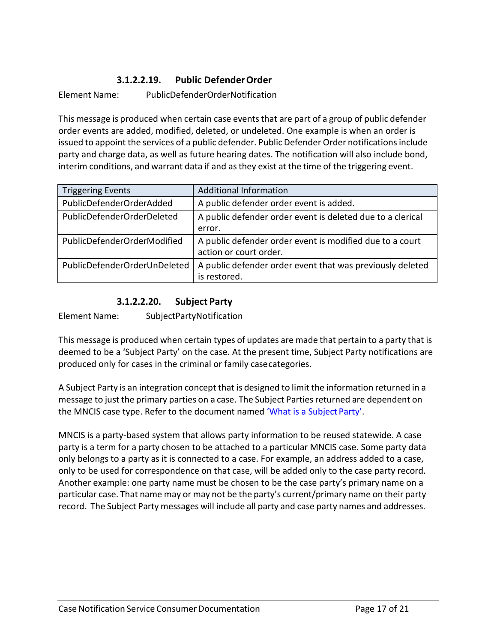# **3.1.2.2.19. Public DefenderOrder**

<span id="page-16-0"></span>Element Name: PublicDefenderOrderNotification

This message is produced when certain case eventsthat are part of a group of public defender order events are added, modified, deleted, or undeleted. One example is when an order is issued to appoint the services of a public defender. Public Defender Order notifications include party and charge data, as well as future hearing dates. The notification will also include bond, interim conditions, and warrant data if and asthey exist at the time of the triggering event.

| <b>Triggering Events</b>     | <b>Additional Information</b>                                                      |
|------------------------------|------------------------------------------------------------------------------------|
| PublicDefenderOrderAdded     | A public defender order event is added.                                            |
| PublicDefenderOrderDeleted   | A public defender order event is deleted due to a clerical<br>error.               |
| PublicDefenderOrderModified  | A public defender order event is modified due to a court<br>action or court order. |
| PublicDefenderOrderUnDeleted | A public defender order event that was previously deleted<br>is restored.          |

### **3.1.2.2.20. Subject Party**

<span id="page-16-1"></span>Element Name: SubjectPartyNotification

This message is produced when certain types of updates are made that pertain to a party that is deemed to be a 'Subject Party' on the case. At the present time, Subject Party notifications are produced only for cases in the criminal or family casecategories.

A Subject Party is an integration concept that is designed to limit the information returned in a message to just the primary parties on a case. The Subject Parties returned are dependent on the MNCIS case type. Refer to the document named ['What is a Subject](http://mncourts.gov/documents/0/Public/Integration_Services/What_is_a_Subject_Party.pdf) Party'.

MNCIS is a party-based system that allows party information to be reused statewide. A case party is a term for a party chosen to be attached to a particular MNCIS case. Some party data only belongs to a party as it is connected to a case. For example, an address added to a case, only to be used for correspondence on that case, will be added only to the case party record. Another example: one party name must be chosen to be the case party's primary name on a particular case. That name may or may not be the party's current/primary name on their party record. The Subject Party messages will include all party and case party names and addresses.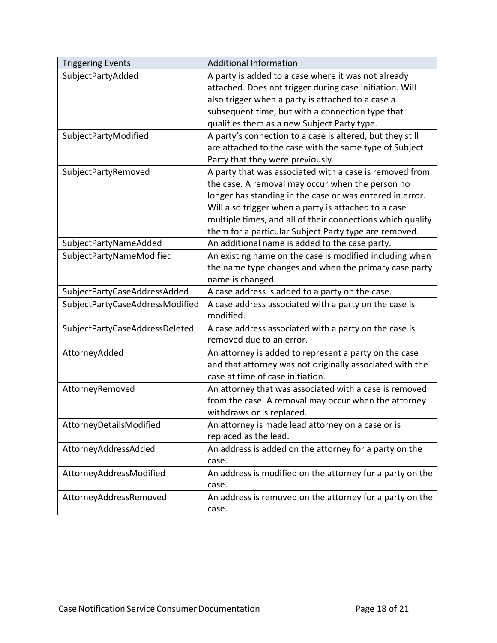| <b>Triggering Events</b>        | <b>Additional Information</b>                              |
|---------------------------------|------------------------------------------------------------|
| SubjectPartyAdded               | A party is added to a case where it was not already        |
|                                 | attached. Does not trigger during case initiation. Will    |
|                                 | also trigger when a party is attached to a case a          |
|                                 | subsequent time, but with a connection type that           |
|                                 | qualifies them as a new Subject Party type.                |
| SubjectPartyModified            | A party's connection to a case is altered, but they still  |
|                                 | are attached to the case with the same type of Subject     |
|                                 | Party that they were previously.                           |
| SubjectPartyRemoved             | A party that was associated with a case is removed from    |
|                                 | the case. A removal may occur when the person no           |
|                                 | longer has standing in the case or was entered in error.   |
|                                 | Will also trigger when a party is attached to a case       |
|                                 | multiple times, and all of their connections which qualify |
|                                 | them for a particular Subject Party type are removed.      |
| SubjectPartyNameAdded           | An additional name is added to the case party.             |
| SubjectPartyNameModified        | An existing name on the case is modified including when    |
|                                 | the name type changes and when the primary case party      |
|                                 | name is changed.                                           |
| SubjectPartyCaseAddressAdded    | A case address is added to a party on the case.            |
| SubjectPartyCaseAddressModified | A case address associated with a party on the case is      |
|                                 | modified.                                                  |
| SubjectPartyCaseAddressDeleted  | A case address associated with a party on the case is      |
|                                 | removed due to an error.                                   |
| AttorneyAdded                   | An attorney is added to represent a party on the case      |
|                                 | and that attorney was not originally associated with the   |
|                                 | case at time of case initiation.                           |
| AttorneyRemoved                 | An attorney that was associated with a case is removed     |
|                                 | from the case. A removal may occur when the attorney       |
|                                 | withdraws or is replaced.                                  |
| AttorneyDetailsModified         | An attorney is made lead attorney on a case or is          |
|                                 | replaced as the lead.                                      |
| AttorneyAddressAdded            | An address is added on the attorney for a party on the     |
|                                 | case.                                                      |
| AttorneyAddressModified         | An address is modified on the attorney for a party on the  |
|                                 | case.                                                      |
| AttorneyAddressRemoved          | An address is removed on the attorney for a party on the   |
|                                 | case.                                                      |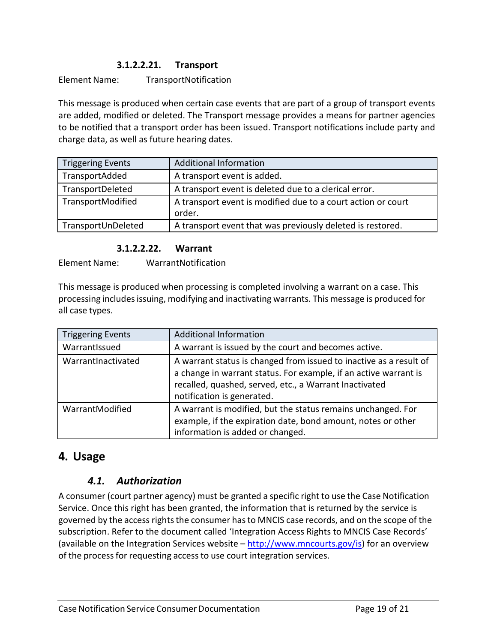### **3.1.2.2.21. Transport**

<span id="page-18-0"></span>Element Name: TransportNotification

This message is produced when certain case events that are part of a group of transport events are added, modified or deleted. The Transport message provides a means for partner agencies to be notified that a transport order has been issued. Transport notifications include party and charge data, as well as future hearing dates.

| <b>Triggering Events</b> | <b>Additional Information</b>                                          |
|--------------------------|------------------------------------------------------------------------|
| TransportAdded           | A transport event is added.                                            |
| TransportDeleted         | A transport event is deleted due to a clerical error.                  |
| TransportModified        | A transport event is modified due to a court action or court<br>order. |
| TransportUnDeleted       | A transport event that was previously deleted is restored.             |

#### **3.1.2.2.22. Warrant**

<span id="page-18-1"></span>Element Name: WarrantNotification

This message is produced when processing is completed involving a warrant on a case. This processing includes issuing, modifying and inactivating warrants. This message is produced for all case types.

| <b>Triggering Events</b> | <b>Additional Information</b>                                                                                                                                                                                                  |
|--------------------------|--------------------------------------------------------------------------------------------------------------------------------------------------------------------------------------------------------------------------------|
| WarrantIssued            | A warrant is issued by the court and becomes active.                                                                                                                                                                           |
| WarrantInactivated       | A warrant status is changed from issued to inactive as a result of<br>a change in warrant status. For example, if an active warrant is<br>recalled, quashed, served, etc., a Warrant Inactivated<br>notification is generated. |
| WarrantModified          | A warrant is modified, but the status remains unchanged. For<br>example, if the expiration date, bond amount, notes or other<br>information is added or changed.                                                               |

# <span id="page-18-2"></span>**4. Usage**

# *4.1. Authorization*

A consumer (court partner agency) must be granted a specific right to use the Case Notification Service. Once this right has been granted, the information that is returned by the service is governed by the access rights the consumer has to MNCIS case records, and on the scope of the subscription. Refer to the document called 'Integration Access Rights to MNCIS Case Records' (available on the Integration Services website  $-\frac{http://www.mncourts.gov/is)}{$  $-\frac{http://www.mncourts.gov/is)}{$  $-\frac{http://www.mncourts.gov/is)}{$  for an overview of the process for requesting access to use court integration services.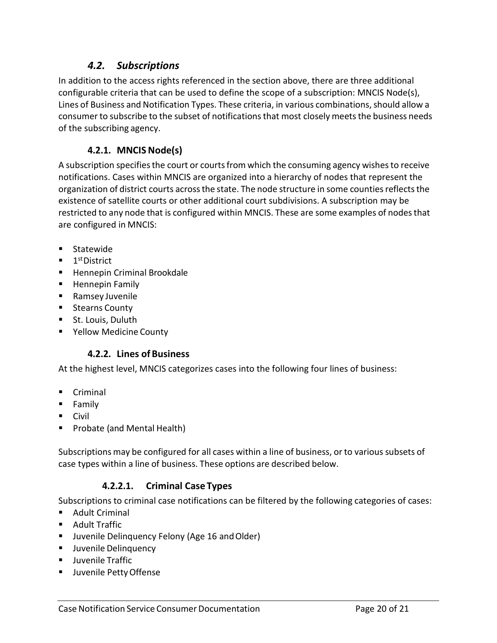# *4.2. Subscriptions*

In addition to the access rights referenced in the section above, there are three additional configurable criteria that can be used to define the scope of a subscription: MNCIS Node(s), Lines of Business and Notification Types. These criteria, in various combinations, should allow a consumer to subscribe to the subset of notifications that most closely meets the business needs of the subscribing agency.

### **4.2.1. MNCIS Node(s)**

<span id="page-19-0"></span>A subscription specifies the court or courts from which the consuming agency wishes to receive notifications. Cases within MNCIS are organized into a hierarchy of nodes that represent the organization of district courts across the state. The node structure in some counties reflects the existence of satellite courts or other additional court subdivisions. A subscription may be restricted to any node that is configured within MNCIS. These are some examples of nodesthat are configured in MNCIS:

- **Statewide**
- $\blacksquare$  1<sup>st</sup>District
- **Hennepin Criminal Brookdale**
- **Hennepin Family**
- Ramsey Juvenile
- **Stearns County**
- **St. Louis, Duluth**
- <span id="page-19-1"></span>Yellow Medicine County

# **4.2.2. Lines ofBusiness**

At the highest level, MNCIS categorizes cases into the following four lines of business:

- **Criminal**
- **Family**
- **Civil**
- **Probate (and Mental Health)**

Subscriptions may be configured for all cases within a line of business, or to various subsets of case types within a line of business. These options are described below.

# **4.2.2.1. Criminal Case Types**

<span id="page-19-2"></span>Subscriptions to criminal case notifications can be filtered by the following categories of cases:

- Adult Criminal
- Adult Traffic
- **U** Juvenile Delinquency Felony (Age 16 and Older)
- **Juvenile Delinguency**
- **Juvenile Traffic**
- Juvenile Petty Offense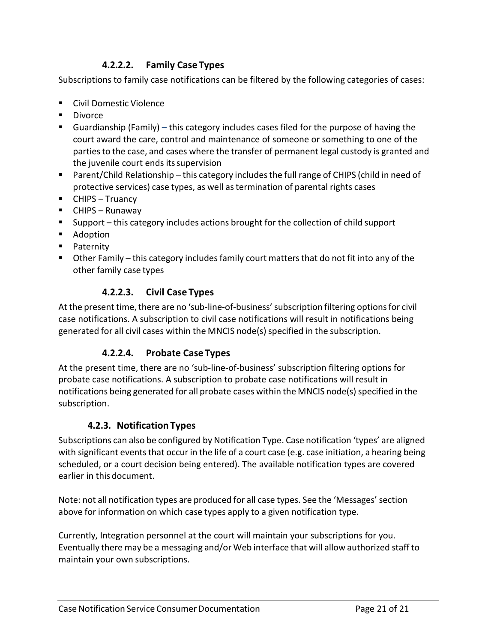### **4.2.2.2. Family Case Types**

<span id="page-20-0"></span>Subscriptions to family case notifications can be filtered by the following categories of cases:

- Civil Domestic Violence
- **Divorce**
- Guardianship (Family) this category includes cases filed for the purpose of having the court award the care, control and maintenance of someone or something to one of the partiesto the case, and cases where the transfer of permanent legal custody is granted and the juvenile court ends itssupervision
- **Parent/Child Relationship this category includes the full range of CHIPS (child in need of**  $\blacksquare$ protective services) case types, as well astermination of parental rights cases
- CHIPS Truancy
- CHIPS Runaway
- Support this category includes actions brought for the collection of child support
- Adoption
- **Paternity**
- Other Family this category includesfamily court mattersthat do not fit into any of the other family case types

#### **4.2.2.3. Civil Case Types**

<span id="page-20-1"></span>At the present time, there are no 'sub-line-of-business' subscription filtering options for civil case notifications. A subscription to civil case notifications will result in notifications being generated for all civil cases within the MNCIS node(s) specified in the subscription.

#### **4.2.2.4. Probate Case Types**

<span id="page-20-2"></span>At the present time, there are no 'sub-line-of-business' subscription filtering options for probate case notifications. A subscription to probate case notifications will result in notifications being generated for all probate cases within the MNCIS node(s) specified in the subscription.

#### **4.2.3. Notification Types**

<span id="page-20-3"></span>Subscriptions can also be configured by Notification Type. Case notification 'types' are aligned with significant events that occur in the life of a court case (e.g. case initiation, a hearing being scheduled, or a court decision being entered). The available notification types are covered earlier in this document.

Note: not all notification types are produced for all case types. See the 'Messages' section above for information on which case types apply to a given notification type.

Currently, Integration personnel at the court will maintain your subscriptions for you. Eventually there may be a messaging and/or Web interface that will allow authorized staff to maintain your own subscriptions.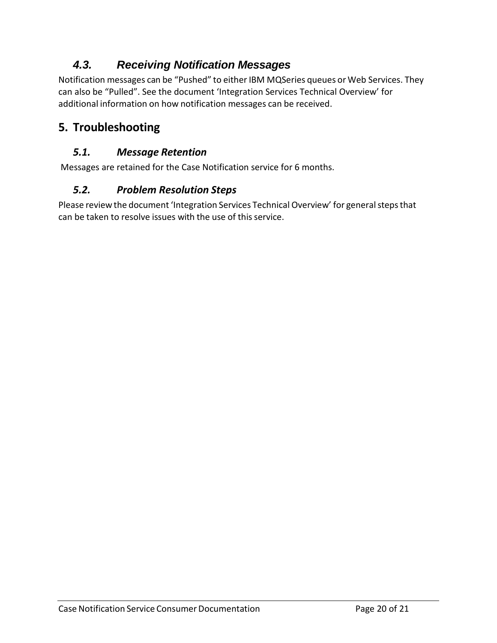# *4.3. Receiving Notification Messages*

Notification messages can be "Pushed" to either IBM MQSeries queues or Web Services. They can also be "Pulled". See the document 'Integration Services Technical Overview' for additional information on how notification messages can be received.

# <span id="page-21-0"></span>**5. Troubleshooting**

# *5.1. Message Retention*

Messages are retained for the Case Notification service for 6 months.

# *5.2. Problem Resolution Steps*

Please review the document 'Integration Services Technical Overview' for general steps that can be taken to resolve issues with the use of this service.